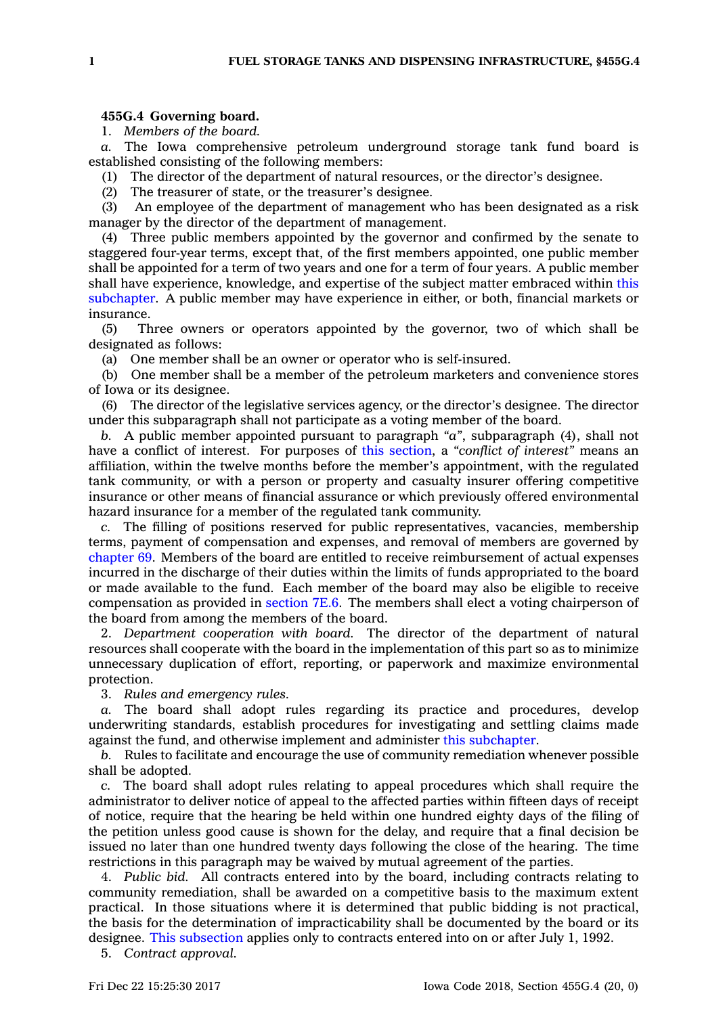## **455G.4 Governing board.**

1. *Members of the board.*

*a.* The Iowa comprehensive petroleum underground storage tank fund board is established consisting of the following members:

(1) The director of the department of natural resources, or the director's designee.

(2) The treasurer of state, or the treasurer's designee.

(3) An employee of the department of management who has been designated as <sup>a</sup> risk manager by the director of the department of management.

(4) Three public members appointed by the governor and confirmed by the senate to staggered four-year terms, except that, of the first members appointed, one public member shall be appointed for <sup>a</sup> term of two years and one for <sup>a</sup> term of four years. A public member shall have experience, knowledge, and expertise of the subject matter embraced within [this](https://www.legis.iowa.gov/docs/code//455G.pdf) [subchapter](https://www.legis.iowa.gov/docs/code//455G.pdf). A public member may have experience in either, or both, financial markets or insurance.

(5) Three owners or operators appointed by the governor, two of which shall be designated as follows:

(a) One member shall be an owner or operator who is self-insured.

(b) One member shall be <sup>a</sup> member of the petroleum marketers and convenience stores of Iowa or its designee.

(6) The director of the legislative services agency, or the director's designee. The director under this subparagraph shall not participate as <sup>a</sup> voting member of the board.

*b.* A public member appointed pursuant to paragraph *"a"*, subparagraph (4), shall not have <sup>a</sup> conflict of interest. For purposes of this [section](https://www.legis.iowa.gov/docs/code/455G.4.pdf), <sup>a</sup> *"conflict of interest"* means an affiliation, within the twelve months before the member's appointment, with the regulated tank community, or with <sup>a</sup> person or property and casualty insurer offering competitive insurance or other means of financial assurance or which previously offered environmental hazard insurance for <sup>a</sup> member of the regulated tank community.

*c.* The filling of positions reserved for public representatives, vacancies, membership terms, payment of compensation and expenses, and removal of members are governed by [chapter](https://www.legis.iowa.gov/docs/code//69.pdf) 69. Members of the board are entitled to receive reimbursement of actual expenses incurred in the discharge of their duties within the limits of funds appropriated to the board or made available to the fund. Each member of the board may also be eligible to receive compensation as provided in [section](https://www.legis.iowa.gov/docs/code/7E.6.pdf) 7E.6. The members shall elect <sup>a</sup> voting chairperson of the board from among the members of the board.

2. *Department cooperation with board.* The director of the department of natural resources shall cooperate with the board in the implementation of this part so as to minimize unnecessary duplication of effort, reporting, or paperwork and maximize environmental protection.

3. *Rules and emergency rules.*

The board shall adopt rules regarding its practice and procedures, develop underwriting standards, establish procedures for investigating and settling claims made against the fund, and otherwise implement and administer this [subchapter](https://www.legis.iowa.gov/docs/code//455G.pdf).

*b.* Rules to facilitate and encourage the use of community remediation whenever possible shall be adopted.

*c.* The board shall adopt rules relating to appeal procedures which shall require the administrator to deliver notice of appeal to the affected parties within fifteen days of receipt of notice, require that the hearing be held within one hundred eighty days of the filing of the petition unless good cause is shown for the delay, and require that <sup>a</sup> final decision be issued no later than one hundred twenty days following the close of the hearing. The time restrictions in this paragraph may be waived by mutual agreement of the parties.

4. *Public bid.* All contracts entered into by the board, including contracts relating to community remediation, shall be awarded on <sup>a</sup> competitive basis to the maximum extent practical. In those situations where it is determined that public bidding is not practical, the basis for the determination of impracticability shall be documented by the board or its designee. This [subsection](https://www.legis.iowa.gov/docs/code/455G.4.pdf) applies only to contracts entered into on or after July 1, 1992.

5. *Contract approval.*